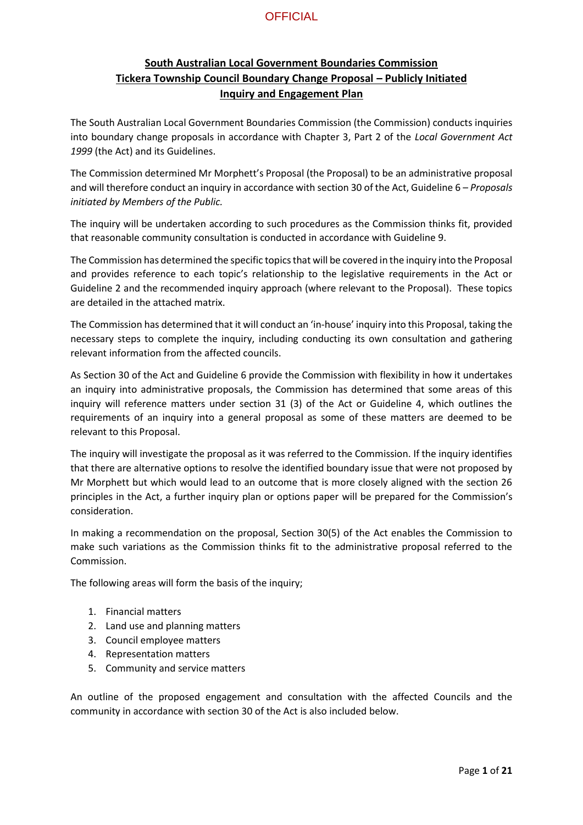### **South Australian Local Government Boundaries Commission Tickera Township Council Boundary Change Proposal – Publicly Initiated Inquiry and Engagement Plan**

The South Australian Local Government Boundaries Commission (the Commission) conducts inquiries into boundary change proposals in accordance with Chapter 3, Part 2 of the *Local Government Act 1999* (the Act) and its Guidelines.

The Commission determined Mr Morphett's Proposal (the Proposal) to be an administrative proposal and will therefore conduct an inquiry in accordance with section 30 of the Act, Guideline 6 – *Proposals initiated by Members of the Public.*

The inquiry will be undertaken according to such procedures as the Commission thinks fit, provided that reasonable community consultation is conducted in accordance with Guideline 9.

The Commission has determined the specific topics that will be covered in the inquiry into the Proposal and provides reference to each topic's relationship to the legislative requirements in the Act or Guideline 2 and the recommended inquiry approach (where relevant to the Proposal). These topics are detailed in the attached matrix.

The Commission has determined that it will conduct an 'in-house' inquiry into this Proposal, taking the necessary steps to complete the inquiry, including conducting its own consultation and gathering relevant information from the affected councils.

As Section 30 of the Act and Guideline 6 provide the Commission with flexibility in how it undertakes an inquiry into administrative proposals, the Commission has determined that some areas of this inquiry will reference matters under section 31 (3) of the Act or Guideline 4, which outlines the requirements of an inquiry into a general proposal as some of these matters are deemed to be relevant to this Proposal.

The inquiry will investigate the proposal as it was referred to the Commission. If the inquiry identifies that there are alternative options to resolve the identified boundary issue that were not proposed by Mr Morphett but which would lead to an outcome that is more closely aligned with the section 26 principles in the Act, a further inquiry plan or options paper will be prepared for the Commission's consideration.

In making a recommendation on the proposal, Section 30(5) of the Act enables the Commission to make such variations as the Commission thinks fit to the administrative proposal referred to the Commission.

The following areas will form the basis of the inquiry;

- 1. Financial matters
- 2. Land use and planning matters
- 3. Council employee matters
- 4. Representation matters
- 5. Community and service matters

An outline of the proposed engagement and consultation with the affected Councils and the community in accordance with section 30 of the Act is also included below.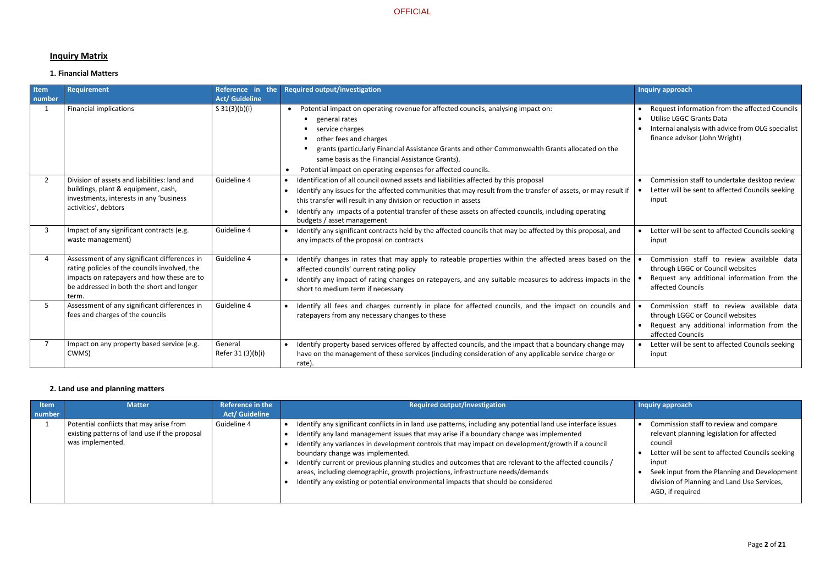# **Inquiry Matrix**

### **1. Financial Matters**

| Item<br>number | <b>Requirement</b>                                                                                                                                                                                | Reference in the<br><b>Act/ Guideline</b> | <b>Required output/investigation</b>                                                                                                                                                                                                                                                                                                                                                                               | <b>Inquiry approach</b>                                                                                                                                          |
|----------------|---------------------------------------------------------------------------------------------------------------------------------------------------------------------------------------------------|-------------------------------------------|--------------------------------------------------------------------------------------------------------------------------------------------------------------------------------------------------------------------------------------------------------------------------------------------------------------------------------------------------------------------------------------------------------------------|------------------------------------------------------------------------------------------------------------------------------------------------------------------|
| $\mathbf{1}$   | <b>Financial implications</b>                                                                                                                                                                     | S $31(3)(b)(i)$                           | Potential impact on operating revenue for affected councils, analysing impact on:<br>$\bullet$<br><b>Exercise Property</b> Property<br>service charges<br>other fees and charges<br>grants (particularly Financial Assistance Grants and other Commonwealth Grants allocated on the<br>same basis as the Financial Assistance Grants).<br>Potential impact on operating expenses for affected councils.            | Request information from the affected Councils<br>Utilise LGGC Grants Data<br>Internal analysis with advice from OLG specialist<br>finance advisor (John Wright) |
|                | Division of assets and liabilities: land and<br>buildings, plant & equipment, cash,<br>investments, interests in any 'business<br>activities', debtors                                            | Guideline 4                               | Identification of all council owned assets and liabilities affected by this proposal<br>Identify any issues for the affected communities that may result from the transfer of assets, or may result if<br>this transfer will result in any division or reduction in assets<br>Identify any impacts of a potential transfer of these assets on affected councils, including operating<br>budgets / asset management | Commission staff to undertake desktop review<br>Letter will be sent to affected Councils seeking<br>input                                                        |
|                | Impact of any significant contracts (e.g.<br>waste management)                                                                                                                                    | Guideline 4                               | Identify any significant contracts held by the affected councils that may be affected by this proposal, and<br>any impacts of the proposal on contracts                                                                                                                                                                                                                                                            | Letter will be sent to affected Councils seeking<br>input                                                                                                        |
|                | Assessment of any significant differences in<br>rating policies of the councils involved, the<br>impacts on ratepayers and how these are to<br>be addressed in both the short and longer<br>term. | Guideline 4                               | Identify changes in rates that may apply to rateable properties within the affected areas based on the<br>affected councils' current rating policy<br>Identify any impact of rating changes on ratepayers, and any suitable measures to address impacts in the<br>short to medium term if necessary                                                                                                                | Commission staff to review available data<br>through LGGC or Council websites<br>Request any additional information from the<br>affected Councils                |
|                | Assessment of any significant differences in<br>fees and charges of the councils                                                                                                                  | Guideline 4                               | Identify all fees and charges currently in place for affected councils, and the impact on councils and<br>ratepayers from any necessary changes to these                                                                                                                                                                                                                                                           | Commission staff to review available data<br>through LGGC or Council websites<br>Request any additional information from the<br>affected Councils                |
|                | Impact on any property based service (e.g.<br>CWMS)                                                                                                                                               | General<br>Refer 31 (3)(b)i)              | Identify property based services offered by affected councils, and the impact that a boundary change may<br>have on the management of these services (including consideration of any applicable service charge or<br>rate).                                                                                                                                                                                        | Letter will be sent to affected Councils seeking<br>input                                                                                                        |

### **2. Land use and planning matters**

| <b>Item</b><br>number | <b>Matter</b>                                                                                                | Reference in the<br><b>Act/ Guideline</b> | <b>Required output/investigation</b>                                                                                                                                                                                                                                                                                                                                                                                                                                                                                                                                                                                                 | Inquiry approach                                                                                                                                                                                                                                                                |
|-----------------------|--------------------------------------------------------------------------------------------------------------|-------------------------------------------|--------------------------------------------------------------------------------------------------------------------------------------------------------------------------------------------------------------------------------------------------------------------------------------------------------------------------------------------------------------------------------------------------------------------------------------------------------------------------------------------------------------------------------------------------------------------------------------------------------------------------------------|---------------------------------------------------------------------------------------------------------------------------------------------------------------------------------------------------------------------------------------------------------------------------------|
|                       | Potential conflicts that may arise from<br>existing patterns of land use if the proposal<br>was implemented. | Guideline 4                               | Identify any significant conflicts in in land use patterns, including any potential land use interface issues<br>Identify any land management issues that may arise if a boundary change was implemented<br>Identify any variances in development controls that may impact on development/growth if a council<br>boundary change was implemented.<br>Identify current or previous planning studies and outcomes that are relevant to the affected councils /<br>areas, including demographic, growth projections, infrastructure needs/demands<br>Identify any existing or potential environmental impacts that should be considered | Commission staff to review and compare<br>relevant planning legislation for affected<br>council<br>Letter will be sent to affected Councils seeking<br>input<br>Seek input from the Planning and Development<br>division of Planning and Land Use Services,<br>AGD, if required |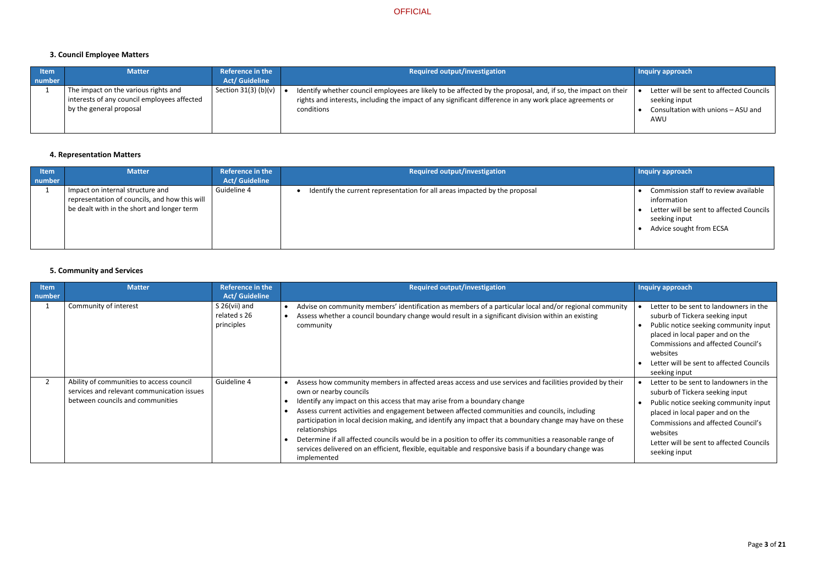# **3. Council Employee Matters**

| ltem<br>number | <b>Matter</b>                                                                                                  | <b>Reference in the</b><br><b>Act/ Guideline</b> | Required output/investigation                                                                                                                                                                                                           | <b>Inquiry approach</b>                                                                                |
|----------------|----------------------------------------------------------------------------------------------------------------|--------------------------------------------------|-----------------------------------------------------------------------------------------------------------------------------------------------------------------------------------------------------------------------------------------|--------------------------------------------------------------------------------------------------------|
|                | The impact on the various rights and<br>interests of any council employees affected<br>by the general proposal | Section 31(3) (b)(v) $\vert$                     | Identify whether council employees are likely to be affected by the proposal, and, if so, the impact on their<br>rights and interests, including the impact of any significant difference in any work place agreements or<br>conditions | Letter will be sent to affected Councils<br>seeking input<br>Consultation with unions - ASU and<br>AWU |

### **4. Representation Matters**

| <b>Item</b><br>number | <b>Matter</b>                                                                                                                   | Reference in the<br><b>Act/ Guideline</b> | <b>Required output/investigation</b>                                       | <b>Inquiry approach</b>                                                                                                                       |
|-----------------------|---------------------------------------------------------------------------------------------------------------------------------|-------------------------------------------|----------------------------------------------------------------------------|-----------------------------------------------------------------------------------------------------------------------------------------------|
|                       | Impact on internal structure and<br>representation of councils, and how this will<br>be dealt with in the short and longer term | Guideline 4                               | Identify the current representation for all areas impacted by the proposal | Commission staff to review available<br>information<br>Letter will be sent to affected Councils  <br>seeking input<br>Advice sought from ECSA |

# **5. Community and Services**

| Item   | <b>Matter</b>                                                                                                              | <b>Reference in the</b>                       | <b>Required output/investigation</b>                                                                                                                                                                                                                                                                                                                                                                                                                                                                                                                                                                                                                                            | Inquiry approach                                                                                                                                                                                                                                                             |
|--------|----------------------------------------------------------------------------------------------------------------------------|-----------------------------------------------|---------------------------------------------------------------------------------------------------------------------------------------------------------------------------------------------------------------------------------------------------------------------------------------------------------------------------------------------------------------------------------------------------------------------------------------------------------------------------------------------------------------------------------------------------------------------------------------------------------------------------------------------------------------------------------|------------------------------------------------------------------------------------------------------------------------------------------------------------------------------------------------------------------------------------------------------------------------------|
| number |                                                                                                                            | <b>Act/ Guideline</b>                         |                                                                                                                                                                                                                                                                                                                                                                                                                                                                                                                                                                                                                                                                                 |                                                                                                                                                                                                                                                                              |
|        | Community of interest                                                                                                      | S $26(vii)$ and<br>related s 26<br>principles | Advise on community members' identification as members of a particular local and/or regional community<br>Assess whether a council boundary change would result in a significant division within an existing<br>community                                                                                                                                                                                                                                                                                                                                                                                                                                                       | Letter to be sent to landowners in the<br>suburb of Tickera seeking input<br>Public notice seeking community input<br>placed in local paper and on the<br><b>Commissions and affected Council's</b><br>websites<br>Letter will be sent to affected Councils<br>seeking input |
|        | Ability of communities to access council<br>services and relevant communication issues<br>between councils and communities | Guideline 4                                   | Assess how community members in affected areas access and use services and facilities provided by their<br>own or nearby councils<br>Identify any impact on this access that may arise from a boundary change<br>Assess current activities and engagement between affected communities and councils, including<br>participation in local decision making, and identify any impact that a boundary change may have on these<br>relationships<br>Determine if all affected councils would be in a position to offer its communities a reasonable range of<br>services delivered on an efficient, flexible, equitable and responsive basis if a boundary change was<br>implemented | Letter to be sent to landowners in the<br>suburb of Tickera seeking input<br>Public notice seeking community input<br>placed in local paper and on the<br><b>Commissions and affected Council's</b><br>websites<br>Letter will be sent to affected Councils<br>seeking input |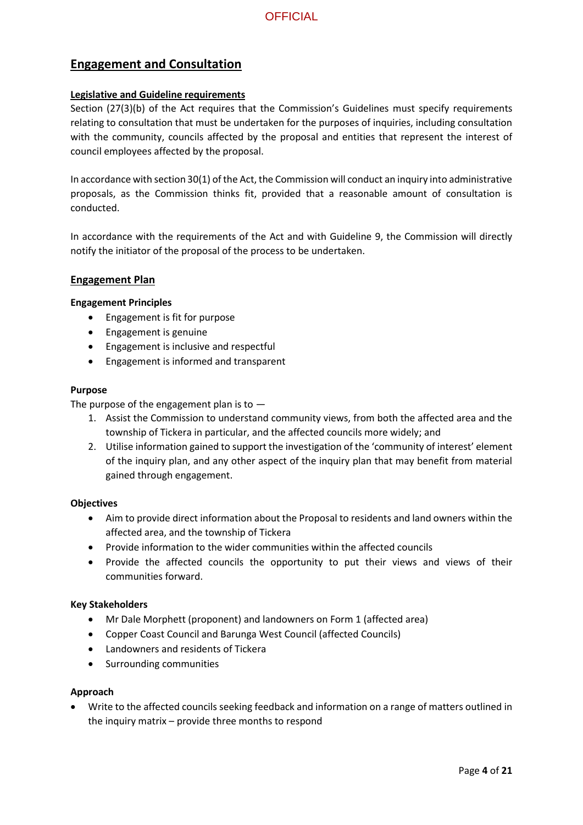### **Engagement and Consultation**

### **Legislative and Guideline requirements**

Section (27(3)(b) of the Act requires that the Commission's Guidelines must specify requirements relating to consultation that must be undertaken for the purposes of inquiries, including consultation with the community, councils affected by the proposal and entities that represent the interest of council employees affected by the proposal.

In accordance with section 30(1) of the Act, the Commission will conduct an inquiry into administrative proposals, as the Commission thinks fit, provided that a reasonable amount of consultation is conducted.

In accordance with the requirements of the Act and with Guideline 9, the Commission will directly notify the initiator of the proposal of the process to be undertaken.

### **Engagement Plan**

### **Engagement Principles**

- Engagement is fit for purpose
- Engagement is genuine
- Engagement is inclusive and respectful
- Engagement is informed and transparent

### **Purpose**

The purpose of the engagement plan is to  $-$ 

- 1. Assist the Commission to understand community views, from both the affected area and the township of Tickera in particular, and the affected councils more widely; and
- 2. Utilise information gained to support the investigation of the 'community of interest' element of the inquiry plan, and any other aspect of the inquiry plan that may benefit from material gained through engagement.

### **Objectives**

- Aim to provide direct information about the Proposal to residents and land owners within the affected area, and the township of Tickera
- Provide information to the wider communities within the affected councils
- Provide the affected councils the opportunity to put their views and views of their communities forward.

### **Key Stakeholders**

- Mr Dale Morphett (proponent) and landowners on Form 1 (affected area)
- Copper Coast Council and Barunga West Council (affected Councils)
- Landowners and residents of Tickera
- Surrounding communities

### **Approach**

 Write to the affected councils seeking feedback and information on a range of matters outlined in the inquiry matrix – provide three months to respond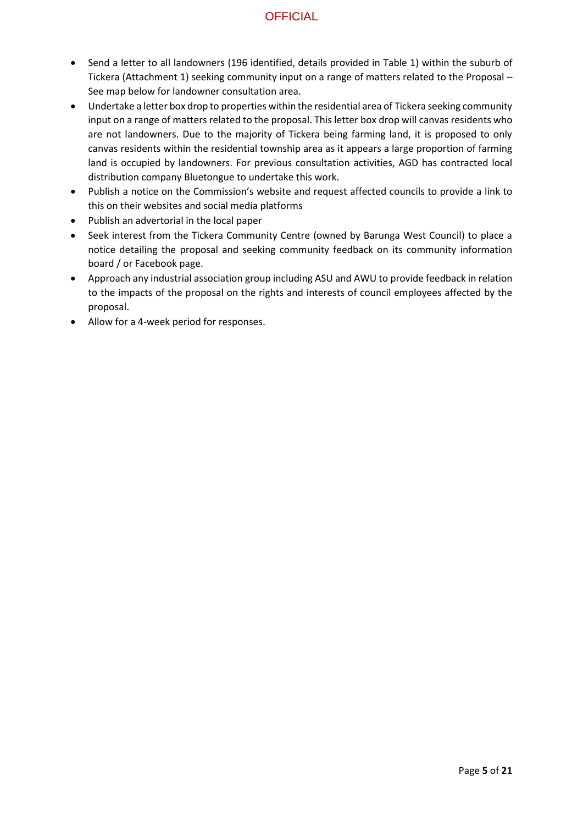- Send a letter to all landowners (196 identified, details provided in Table 1) within the suburb of Tickera (Attachment 1) seeking community input on a range of matters related to the Proposal – See map below for landowner consultation area.
- Undertake a letter box drop to properties within the residential area of Tickera seeking community input on a range of matters related to the proposal. This letter box drop will canvas residents who are not landowners. Due to the majority of Tickera being farming land, it is proposed to only canvas residents within the residential township area as it appears a large proportion of farming land is occupied by landowners. For previous consultation activities, AGD has contracted local distribution company Bluetongue to undertake this work.
- Publish a notice on the Commission's website and request affected councils to provide a link to this on their websites and social media platforms
- Publish an advertorial in the local paper
- Seek interest from the Tickera Community Centre (owned by Barunga West Council) to place a notice detailing the proposal and seeking community feedback on its community information board / or Facebook page.
- Approach any industrial association group including ASU and AWU to provide feedback in relation to the impacts of the proposal on the rights and interests of council employees affected by the proposal.
- Allow for a 4-week period for responses.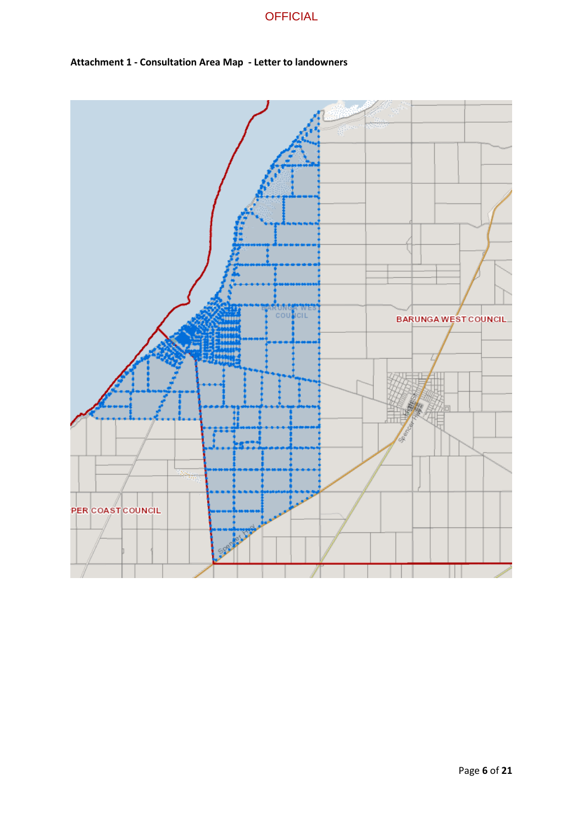



### **Attachment 1 - Consultation Area Map - Letter to landowners**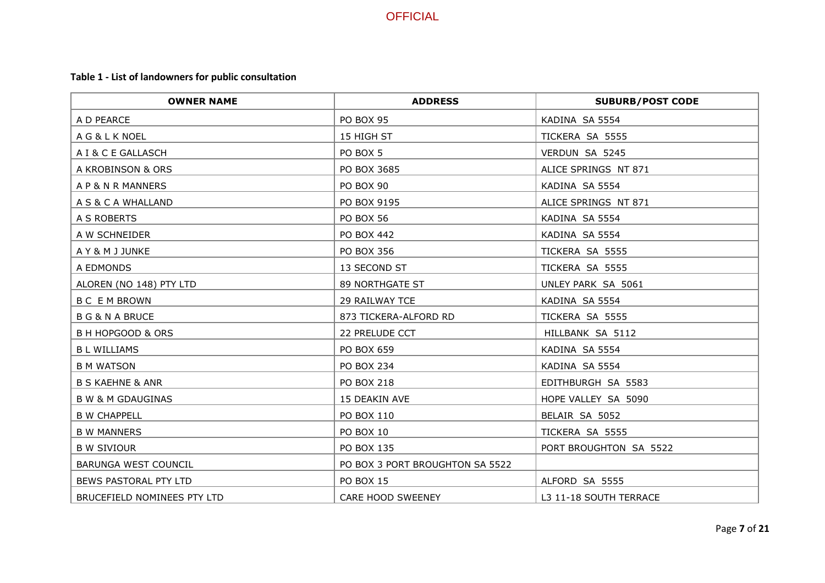# **Table 1 - List of landowners for public consultation**

| <b>OWNER NAME</b>            | <b>ADDRESS</b>                  | <b>SUBURB/POST CODE</b> |
|------------------------------|---------------------------------|-------------------------|
| A D PEARCE                   | PO BOX 95                       | KADINA SA 5554          |
| A G & L K NOEL               | 15 HIGH ST                      | TICKERA SA 5555         |
| A I & C E GALLASCH           | PO BOX 5                        | VERDUN SA 5245          |
| A KROBINSON & ORS            | PO BOX 3685                     | ALICE SPRINGS NT 871    |
| A P & N R MANNERS            | <b>PO BOX 90</b>                | KADINA SA 5554          |
| A S & C A WHALLAND           | PO BOX 9195                     | ALICE SPRINGS NT 871    |
| A S ROBERTS                  | <b>PO BOX 56</b>                | KADINA SA 5554          |
| A W SCHNEIDER                | PO BOX 442                      | KADINA SA 5554          |
| A Y & M J JUNKE              | PO BOX 356                      | TICKERA SA 5555         |
| A EDMONDS                    | 13 SECOND ST                    | TICKERA SA 5555         |
| ALOREN (NO 148) PTY LTD      | 89 NORTHGATE ST                 | UNLEY PARK SA 5061      |
| <b>BC EMBROWN</b>            | 29 RAILWAY TCE                  | KADINA SA 5554          |
| <b>B G &amp; N A BRUCE</b>   | 873 TICKERA-ALFORD RD           | TICKERA SA 5555         |
| <b>B H HOPGOOD &amp; ORS</b> | 22 PRELUDE CCT                  | HILLBANK SA 5112        |
| <b>BL WILLIAMS</b>           | PO BOX 659                      | KADINA SA 5554          |
| <b>B M WATSON</b>            | PO BOX 234                      | KADINA SA 5554          |
| <b>B S KAEHNE &amp; ANR</b>  | <b>PO BOX 218</b>               | EDITHBURGH SA 5583      |
| <b>B W &amp; M GDAUGINAS</b> | 15 DEAKIN AVE                   | HOPE VALLEY SA 5090     |
| <b>B W CHAPPELL</b>          | PO BOX 110                      | BELAIR SA 5052          |
| <b>B W MANNERS</b>           | <b>PO BOX 10</b>                | TICKERA SA 5555         |
| <b>B W SIVIOUR</b>           | PO BOX 135                      | PORT BROUGHTON SA 5522  |
| BARUNGA WEST COUNCIL         | PO BOX 3 PORT BROUGHTON SA 5522 |                         |
| BEWS PASTORAL PTY LTD        | <b>PO BOX 15</b>                | ALFORD SA 5555          |
| BRUCEFIELD NOMINEES PTY LTD  | CARE HOOD SWEENEY               | L3 11-18 SOUTH TERRACE  |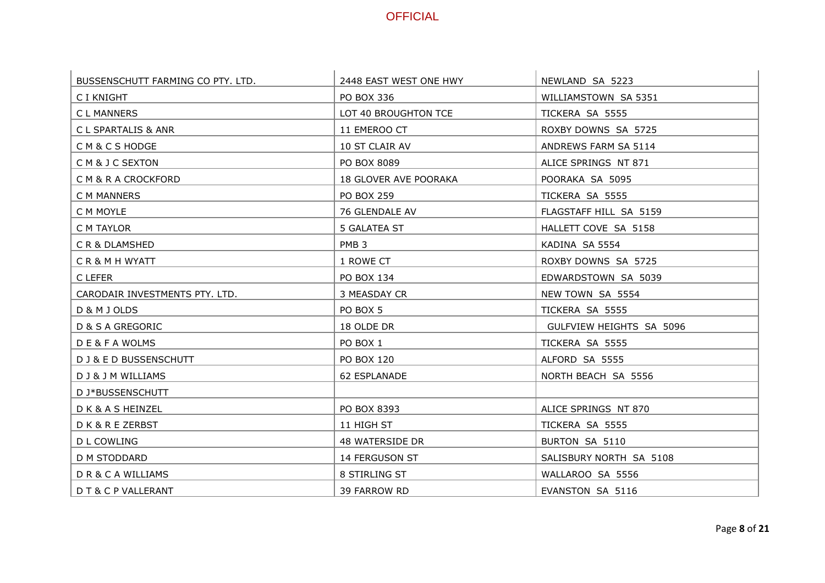| BUSSENSCHUTT FARMING CO PTY. LTD. | 2448 EAST WEST ONE HWY | NEWLAND SA 5223          |
|-----------------------------------|------------------------|--------------------------|
| C I KNIGHT                        | PO BOX 336             | WILLIAMSTOWN SA 5351     |
| C L MANNERS                       | LOT 40 BROUGHTON TCE   | TICKERA SA 5555          |
| C L SPARTALIS & ANR               | 11 EMEROO CT           | ROXBY DOWNS SA 5725      |
| CM&CSHODGE                        | 10 ST CLAIR AV         | ANDREWS FARM SA 5114     |
| CM&JCSEXTON                       | PO BOX 8089            | ALICE SPRINGS NT 871     |
| C M & R A CROCKFORD               | 18 GLOVER AVE POORAKA  | POORAKA SA 5095          |
| C M MANNERS                       | <b>PO BOX 259</b>      | TICKERA SA 5555          |
| C M MOYLE                         | 76 GLENDALE AV         | FLAGSTAFF HILL SA 5159   |
| C M TAYLOR                        | 5 GALATEA ST           | HALLETT COVE SA 5158     |
| CR&DLAMSHED                       | PMB <sub>3</sub>       | KADINA SA 5554           |
| CR&MHWYATT                        | 1 ROWE CT              | ROXBY DOWNS SA 5725      |
| C LEFER                           | PO BOX 134             | EDWARDSTOWN SA 5039      |
| CARODAIR INVESTMENTS PTY. LTD.    | 3 MEASDAY CR           | NEW TOWN SA 5554         |
| D & M J OLDS                      | PO BOX 5               | TICKERA SA 5555          |
| <b>D &amp; S A GREGORIC</b>       | 18 OLDE DR             | GULFVIEW HEIGHTS SA 5096 |
| <b>DE&amp;FAWOLMS</b>             | PO BOX 1               | TICKERA SA 5555          |
| D J & E D BUSSENSCHUTT            | <b>PO BOX 120</b>      | ALFORD SA 5555           |
| D J & J M WILLIAMS                | 62 ESPLANADE           | NORTH BEACH SA 5556      |
| D J*BUSSENSCHUTT                  |                        |                          |
| D K & A S HEINZEL                 | PO BOX 8393            | ALICE SPRINGS NT 870     |
| DK&REZERBST                       | 11 HIGH ST             | TICKERA SA 5555          |
| D L COWLING                       | 48 WATERSIDE DR        | BURTON SA 5110           |
| D M STODDARD                      | 14 FERGUSON ST         | SALISBURY NORTH SA 5108  |
| DR& CA WILLIAMS                   | 8 STIRLING ST          | WALLAROO SA 5556         |
| D T & C P VALLERANT               | 39 FARROW RD           | EVANSTON SA 5116         |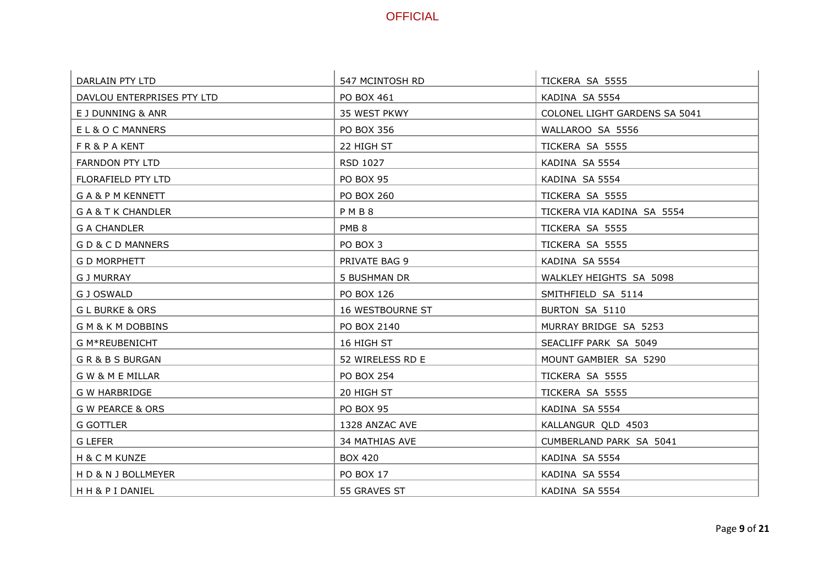| DARLAIN PTY LTD             | 547 MCINTOSH RD   | TICKERA SA 5555               |
|-----------------------------|-------------------|-------------------------------|
| DAVLOU ENTERPRISES PTY LTD  | PO BOX 461        | KADINA SA 5554                |
| E J DUNNING & ANR           | 35 WEST PKWY      | COLONEL LIGHT GARDENS SA 5041 |
| EL&OCMANNERS                | PO BOX 356        | WALLAROO SA 5556              |
| FR&PAKENT                   | 22 HIGH ST        | TICKERA SA 5555               |
| <b>FARNDON PTY LTD</b>      | RSD 1027          | KADINA SA 5554                |
| FLORAFIELD PTY LTD          | <b>PO BOX 95</b>  | KADINA SA 5554                |
| GA&PMKENNETT                | <b>PO BOX 260</b> | TICKERA SA 5555               |
| G A & T K CHANDLER          | PMB8              | TICKERA VIA KADINA SA 5554    |
| <b>G A CHANDLER</b>         | PMB <sub>8</sub>  | TICKERA SA 5555               |
| GD&CDMANNERS                | PO BOX 3          | TICKERA SA 5555               |
| <b>G D MORPHETT</b>         | PRIVATE BAG 9     | KADINA SA 5554                |
| <b>G J MURRAY</b>           | 5 BUSHMAN DR      | WALKLEY HEIGHTS SA 5098       |
| G J OSWALD                  | PO BOX 126        | SMITHFIELD SA 5114            |
| <b>GLBURKE &amp; ORS</b>    | 16 WESTBOURNE ST  | BURTON SA 5110                |
| GM&KMDOBBINS                | PO BOX 2140       | MURRAY BRIDGE SA 5253         |
| G M*REUBENICHT              | 16 HIGH ST        | SEACLIFF PARK SA 5049         |
| GR&BSBURGAN                 | 52 WIRELESS RD E  | MOUNT GAMBIER SA 5290         |
| <b>GW &amp; M E MILLAR</b>  | PO BOX 254        | TICKERA SA 5555               |
| <b>G W HARBRIDGE</b>        | 20 HIGH ST        | TICKERA SA 5555               |
| <b>G W PEARCE &amp; ORS</b> | PO BOX 95         | KADINA SA 5554                |
| <b>G GOTTLER</b>            | 1328 ANZAC AVE    | KALLANGUR QLD 4503            |
| G LEFER                     | 34 MATHIAS AVE    | CUMBERLAND PARK SA 5041       |
| H & C M KUNZE               | <b>BOX 420</b>    | KADINA SA 5554                |
| H D & N J BOLLMEYER         | <b>PO BOX 17</b>  | KADINA SA 5554                |
| HH&PIDANIEL                 | 55 GRAVES ST      | KADINA SA 5554                |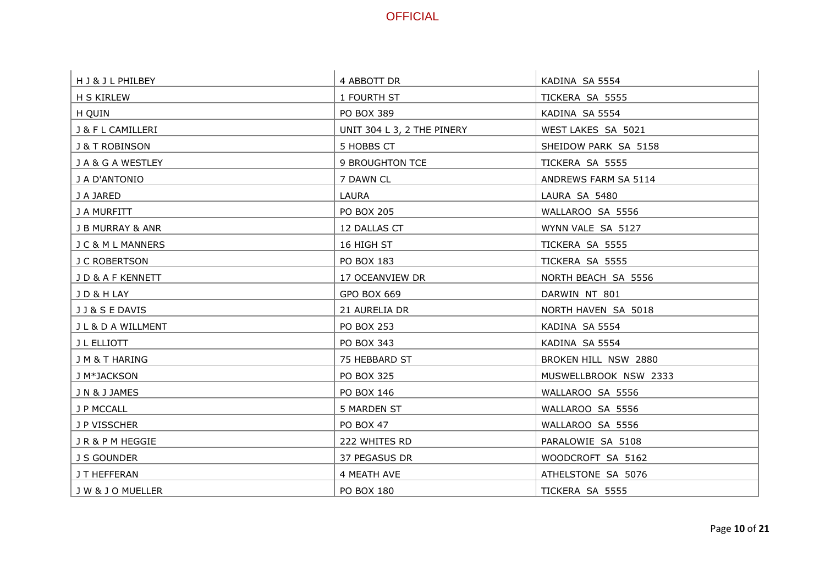| H J & J L PHILBEY           | 4 ABBOTT DR                | KADINA SA 5554        |
|-----------------------------|----------------------------|-----------------------|
| H S KIRLEW                  | 1 FOURTH ST                | TICKERA SA 5555       |
| H QUIN                      | PO BOX 389                 | KADINA SA 5554        |
| J & F L CAMILLERI           | UNIT 304 L 3, 2 THE PINERY | WEST LAKES SA 5021    |
| <b>J &amp; T ROBINSON</b>   | 5 HOBBS CT                 | SHEIDOW PARK SA 5158  |
| J A & G A WESTLEY           | 9 BROUGHTON TCE            | TICKERA SA 5555       |
| J A D'ANTONIO               | 7 DAWN CL                  | ANDREWS FARM SA 5114  |
| J A JARED                   | LAURA                      | LAURA SA 5480         |
| J A MURFITT                 | <b>PO BOX 205</b>          | WALLAROO SA 5556      |
| <b>J B MURRAY &amp; ANR</b> | 12 DALLAS CT               | WYNN VALE SA 5127     |
| J C & M L MANNERS           | 16 HIGH ST                 | TICKERA SA 5555       |
| J C ROBERTSON               | PO BOX 183                 | TICKERA SA 5555       |
| JD&AFKENNETT                | 17 OCEANVIEW DR            | NORTH BEACH SA 5556   |
| J D & H LAY                 | GPO BOX 669                | DARWIN NT 801         |
| J J & S E DAVIS             | 21 AURELIA DR              | NORTH HAVEN SA 5018   |
| J L & D A WILLMENT          | <b>PO BOX 253</b>          | KADINA SA 5554        |
| J L ELLIOTT                 | PO BOX 343                 | KADINA SA 5554        |
| J M & T HARING              | 75 HEBBARD ST              | BROKEN HILL NSW 2880  |
| J M*JACKSON                 | PO BOX 325                 | MUSWELLBROOK NSW 2333 |
| J N & J JAMES               | PO BOX 146                 | WALLAROO SA 5556      |
| J P MCCALL                  | 5 MARDEN ST                | WALLAROO SA 5556      |
| J P VISSCHER                | <b>PO BOX 47</b>           | WALLAROO SA 5556      |
| JR&PMHEGGIE                 | 222 WHITES RD              | PARALOWIE SA 5108     |
| J S GOUNDER                 | 37 PEGASUS DR              | WOODCROFT SA 5162     |
| J T HEFFERAN                | 4 MEATH AVE                | ATHELSTONE SA 5076    |
| J W & J O MUELLER           | <b>PO BOX 180</b>          | TICKERA SA 5555       |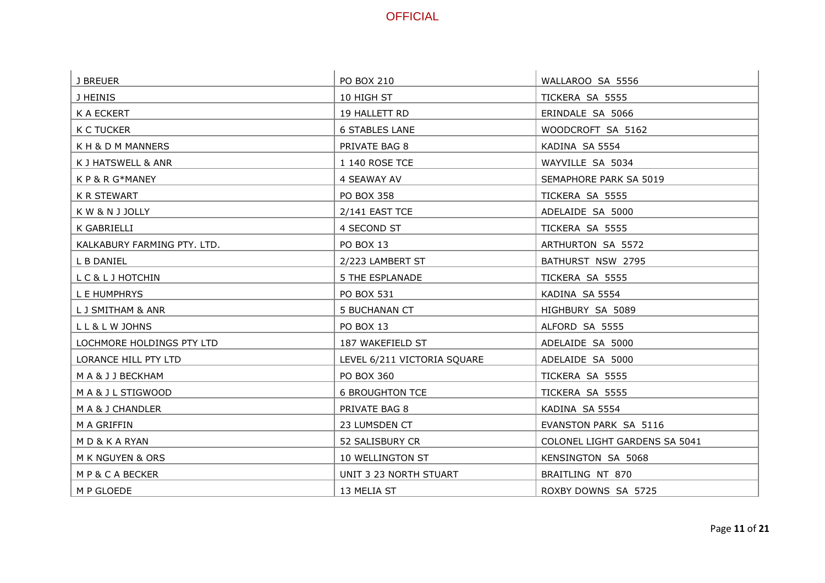| J BREUER                    | <b>PO BOX 210</b>           | WALLAROO SA 5556              |
|-----------------------------|-----------------------------|-------------------------------|
| J HEINIS                    | 10 HIGH ST                  | TICKERA SA 5555               |
| K A ECKERT                  | 19 HALLETT RD               | ERINDALE SA 5066              |
| K C TUCKER                  | <b>6 STABLES LANE</b>       | WOODCROFT SA 5162             |
| K H & D M MANNERS           | PRIVATE BAG 8               | KADINA SA 5554                |
| K J HATSWELL & ANR          | 1 140 ROSE TCE              | WAYVILLE SA 5034              |
| K P & R G*MANEY             | 4 SEAWAY AV                 | SEMAPHORE PARK SA 5019        |
| <b>K R STEWART</b>          | PO BOX 358                  | TICKERA SA 5555               |
| K W & N J JOLLY             | 2/141 EAST TCE              | ADELAIDE SA 5000              |
| K GABRIELLI                 | 4 SECOND ST                 | TICKERA SA 5555               |
| KALKABURY FARMING PTY. LTD. | PO BOX 13                   | ARTHURTON SA 5572             |
| L B DANIEL                  | 2/223 LAMBERT ST            | BATHURST NSW 2795             |
| LC&LJHOTCHIN                | <b>5 THE ESPLANADE</b>      | TICKERA SA 5555               |
| L E HUMPHRYS                | PO BOX 531                  | KADINA SA 5554                |
| L J SMITHAM & ANR           | 5 BUCHANAN CT               | HIGHBURY SA 5089              |
| LL&LWJOHNS                  | PO BOX 13                   | ALFORD SA 5555                |
| LOCHMORE HOLDINGS PTY LTD   | 187 WAKEFIELD ST            | ADELAIDE SA 5000              |
| LORANCE HILL PTY LTD        | LEVEL 6/211 VICTORIA SQUARE | ADELAIDE SA 5000              |
| M A & J J BECKHAM           | PO BOX 360                  | TICKERA SA 5555               |
| MA& J L STIGWOOD            | <b>6 BROUGHTON TCE</b>      | TICKERA SA 5555               |
| M A & J CHANDLER            | PRIVATE BAG 8               | KADINA SA 5554                |
| M A GRIFFIN                 | 23 LUMSDEN CT               | EVANSTON PARK SA 5116         |
| MD&KARYAN                   | 52 SALISBURY CR             | COLONEL LIGHT GARDENS SA 5041 |
| M K NGUYEN & ORS            | 10 WELLINGTON ST            | KENSINGTON SA 5068            |
| MP&CABECKER                 | UNIT 3 23 NORTH STUART      | BRAITLING NT 870              |
| M P GLOEDE                  | 13 MELIA ST                 | ROXBY DOWNS SA 5725           |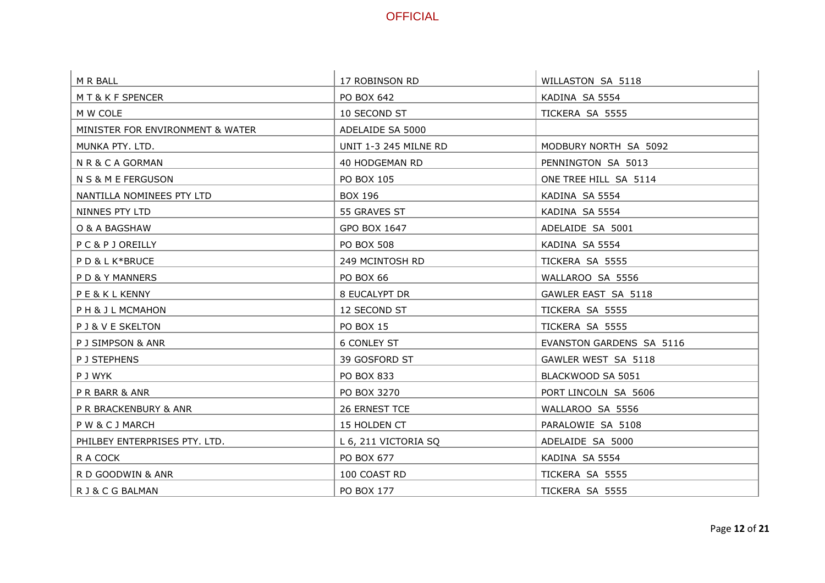| M R BALL                         | 17 ROBINSON RD               | WILLASTON SA 5118        |
|----------------------------------|------------------------------|--------------------------|
| MT&KFSPENCER                     | PO BOX 642                   | KADINA SA 5554           |
| M W COLE                         | 10 SECOND ST                 | TICKERA SA 5555          |
| MINISTER FOR ENVIRONMENT & WATER | ADELAIDE SA 5000             |                          |
| MUNKA PTY. LTD.                  | <b>UNIT 1-3 245 MILNE RD</b> | MODBURY NORTH SA 5092    |
| NR&CAGORMAN                      | 40 HODGEMAN RD               | PENNINGTON SA 5013       |
| N S & M E FERGUSON               | PO BOX 105                   | ONE TREE HILL SA 5114    |
| NANTILLA NOMINEES PTY LTD        | <b>BOX 196</b>               | KADINA SA 5554           |
| NINNES PTY LTD                   | 55 GRAVES ST                 | KADINA SA 5554           |
| O & A BAGSHAW                    | GPO BOX 1647                 | ADELAIDE SA 5001         |
| PC&PJOREILLY                     | <b>PO BOX 508</b>            | KADINA SA 5554           |
| PD&LK*BRUCE                      | 249 MCINTOSH RD              | TICKERA SA 5555          |
| PD&YMANNERS                      | <b>PO BOX 66</b>             | WALLAROO SA 5556         |
| PE&KLKENNY                       | 8 EUCALYPT DR                | GAWLER EAST SA 5118      |
| PH& JL MCMAHON                   | 12 SECOND ST                 | TICKERA SA 5555          |
| P J & V E SKELTON                | <b>PO BOX 15</b>             | TICKERA SA 5555          |
| P J SIMPSON & ANR                | <b>6 CONLEY ST</b>           | EVANSTON GARDENS SA 5116 |
| P J STEPHENS                     | 39 GOSFORD ST                | GAWLER WEST SA 5118      |
| P J WYK                          | PO BOX 833                   | BLACKWOOD SA 5051        |
| P R BARR & ANR                   | PO BOX 3270                  | PORT LINCOLN SA 5606     |
| P R BRACKENBURY & ANR            | 26 ERNEST TCE                | WALLAROO SA 5556         |
| PW&CJMARCH                       | 15 HOLDEN CT                 | PARALOWIE SA 5108        |
| PHILBEY ENTERPRISES PTY. LTD.    | L 6, 211 VICTORIA SQ         | ADELAIDE SA 5000         |
| R A COCK                         | PO BOX 677                   | KADINA SA 5554           |
| R D GOODWIN & ANR                | 100 COAST RD                 | TICKERA SA 5555          |
| R J & C G BALMAN                 | PO BOX 177                   | TICKERA SA 5555          |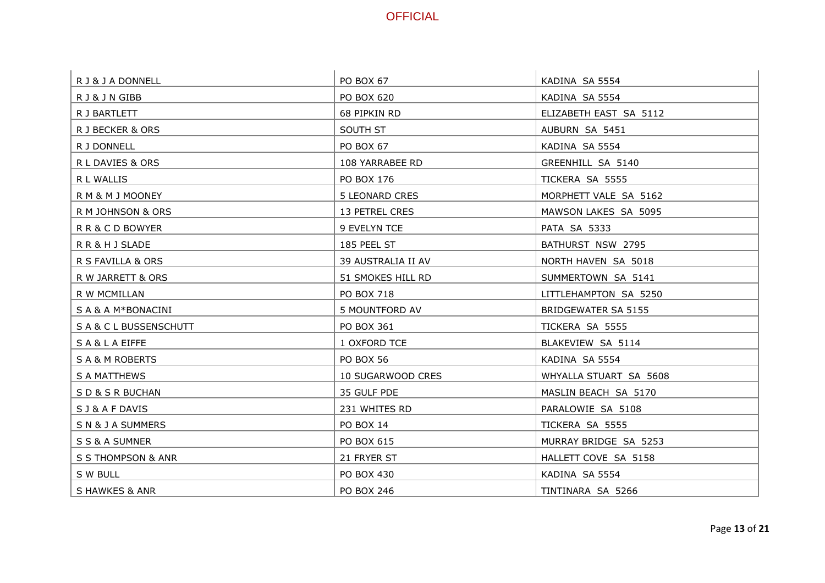| R J & J A DONNELL   | <b>PO BOX 67</b>   | KADINA SA 5554         |
|---------------------|--------------------|------------------------|
| RJ&JNGIBB           | PO BOX 620         | KADINA SA 5554         |
| R J BARTLETT        | 68 PIPKIN RD       | ELIZABETH EAST SA 5112 |
| R J BECKER & ORS    | SOUTH ST           | AUBURN SA 5451         |
| R J DONNELL         | PO BOX 67          | KADINA SA 5554         |
| R L DAVIES & ORS    | 108 YARRABEE RD    | GREENHILL SA 5140      |
| R L WALLIS          | PO BOX 176         | TICKERA SA 5555        |
| R M & M J MOONEY    | 5 LEONARD CRES     | MORPHETT VALE SA 5162  |
| R M JOHNSON & ORS   | 13 PETREL CRES     | MAWSON LAKES SA 5095   |
| RR&CDBOWYER         | 9 EVELYN TCE       | PATA SA 5333           |
| RR&HJSLADE          | 185 PEEL ST        | BATHURST NSW 2795      |
| R S FAVILLA & ORS   | 39 AUSTRALIA II AV | NORTH HAVEN SA 5018    |
| R W JARRETT & ORS   | 51 SMOKES HILL RD  | SUMMERTOWN SA 5141     |
| R W MCMILLAN        | PO BOX 718         | LITTLEHAMPTON SA 5250  |
| S A & A M*BONACINI  | 5 MOUNTFORD AV     | BRIDGEWATER SA 5155    |
| SA&CLBUSSENSCHUTT   | PO BOX 361         | TICKERA SA 5555        |
| SA&LAEIFFE          | 1 OXFORD TCE       | BLAKEVIEW SA 5114      |
| SA&M ROBERTS        | <b>PO BOX 56</b>   | KADINA SA 5554         |
| <b>S A MATTHEWS</b> | 10 SUGARWOOD CRES  | WHYALLA STUART SA 5608 |
| SD& SR BUCHAN       | 35 GULF PDE        | MASLIN BEACH SA 5170   |
| S J & A F DAVIS     | 231 WHITES RD      | PARALOWIE SA 5108      |
| SN& JA SUMMERS      | <b>PO BOX 14</b>   | TICKERA SA 5555        |
| S S & A SUMNER      | PO BOX 615         | MURRAY BRIDGE SA 5253  |
| S S THOMPSON & ANR  | 21 FRYER ST        | HALLETT COVE SA 5158   |
| S W BULL            | PO BOX 430         | KADINA SA 5554         |
| S HAWKES & ANR      | PO BOX 246         | TINTINARA SA 5266      |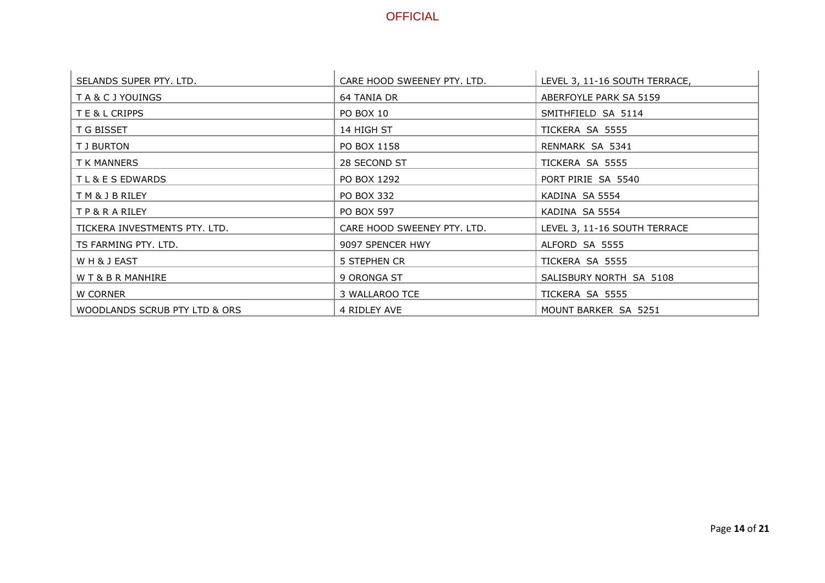| SELANDS SUPER PTY, LTD.       | CARE HOOD SWEENEY PTY. LTD. | LEVEL 3, 11-16 SOUTH TERRACE, |
|-------------------------------|-----------------------------|-------------------------------|
| TA&CJYOUINGS                  | 64 TANIA DR                 | ABERFOYLE PARK SA 5159        |
| T E & L CRIPPS                | PO BOX 10                   | SMITHFIELD SA 5114            |
| T G BISSET                    | 14 HIGH ST                  | TICKERA SA 5555               |
| T J BURTON                    | PO BOX 1158                 | RENMARK SA 5341               |
| T K MANNERS                   | 28 SECOND ST                | TICKERA SA 5555               |
| TL & E S EDWARDS              | PO BOX 1292                 | PORT PIRIE SA 5540            |
| T M & J B RILEY               | PO BOX 332                  | KADINA SA 5554                |
| TP&RARILEY                    | <b>PO BOX 597</b>           | KADINA SA 5554                |
| TICKERA INVESTMENTS PTY, LTD. | CARE HOOD SWEENEY PTY, LTD. | LEVEL 3, 11-16 SOUTH TERRACE  |
| TS FARMING PTY, LTD.          | 9097 SPENCER HWY            | ALFORD SA 5555                |
| WH&JEAST                      | 5 STEPHEN CR                | TICKERA SA 5555               |
| W T & B R MANHIRE             | 9 ORONGA ST                 | SALISBURY NORTH SA 5108       |
| W CORNER                      | 3 WALLAROO TCE              | TICKERA SA 5555               |
| WOODLANDS SCRUB PTY LTD & ORS | 4 RIDLEY AVE                | MOUNT BARKER SA 5251          |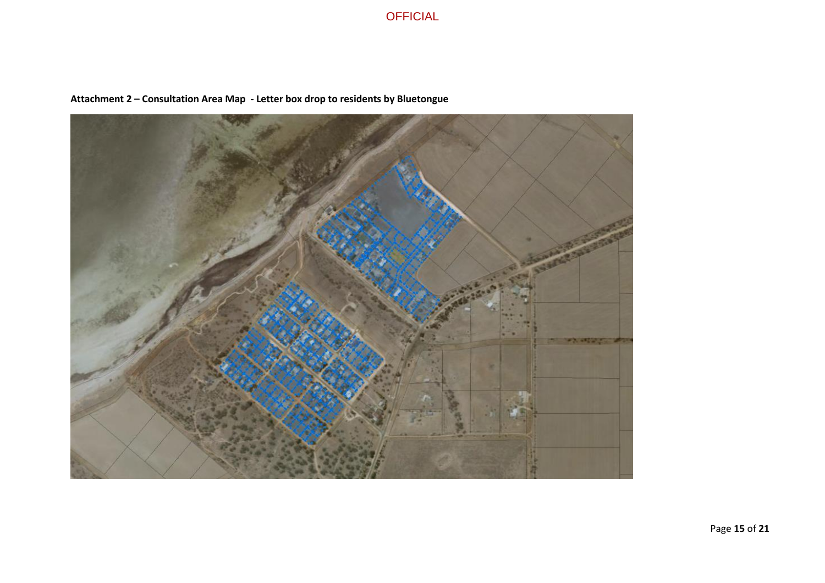

### **Attachment 2 – Consultation Area Map - Letter box drop to residents by Bluetongue**

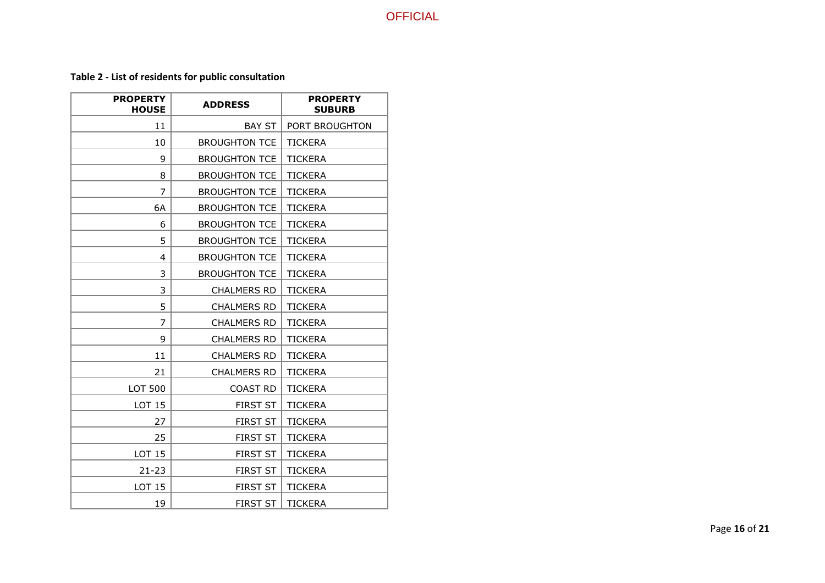# **Table 2 - List of residents for public consultation**

| <b>PROPERTY</b><br><b>HOUSE</b> | <b>ADDRESS</b>       | <b>PROPERTY</b><br><b>SUBURB</b> |
|---------------------------------|----------------------|----------------------------------|
| 11                              | <b>BAY ST</b>        | PORT BROUGHTON                   |
| 10                              | <b>BROUGHTON TCE</b> | <b>TICKERA</b>                   |
| 9                               | <b>BROUGHTON TCE</b> | <b>TICKERA</b>                   |
| 8                               | <b>BROUGHTON TCE</b> | <b>TICKERA</b>                   |
| 7                               | <b>BROUGHTON TCE</b> | <b>TICKERA</b>                   |
| 6A                              | <b>BROUGHTON TCE</b> | <b>TICKERA</b>                   |
| 6                               | <b>BROUGHTON TCE</b> | <b>TICKERA</b>                   |
| 5                               | <b>BROUGHTON TCE</b> | <b>TICKERA</b>                   |
| 4                               | <b>BROUGHTON TCE</b> | <b>TICKERA</b>                   |
| 3                               | <b>BROUGHTON TCE</b> | <b>TICKERA</b>                   |
| 3                               | <b>CHALMERS RD</b>   | <b>TICKERA</b>                   |
| 5                               | <b>CHALMERS RD</b>   | <b>TICKERA</b>                   |
| 7                               | <b>CHALMERS RD</b>   | <b>TICKERA</b>                   |
| 9                               | <b>CHALMERS RD</b>   | <b>TICKERA</b>                   |
| 11                              | <b>CHALMERS RD</b>   | <b>TICKERA</b>                   |
| 21                              | <b>CHALMERS RD</b>   | <b>TICKERA</b>                   |
| <b>LOT 500</b>                  | <b>COAST RD</b>      | <b>TICKERA</b>                   |
| LOT 15                          | <b>FIRST ST</b>      | <b>TICKERA</b>                   |
| 27                              | <b>FIRST ST</b>      | <b>TICKERA</b>                   |
| 25                              | <b>FIRST ST</b>      | <b>TICKERA</b>                   |
| <b>LOT 15</b>                   | <b>FIRST ST</b>      | <b>TICKERA</b>                   |
| $21 - 23$                       | <b>FIRST ST</b>      | <b>TICKERA</b>                   |
| LOT 15                          | <b>FIRST ST</b>      | <b>TICKERA</b>                   |
| 19                              | <b>FIRST ST</b>      | <b>TICKERA</b>                   |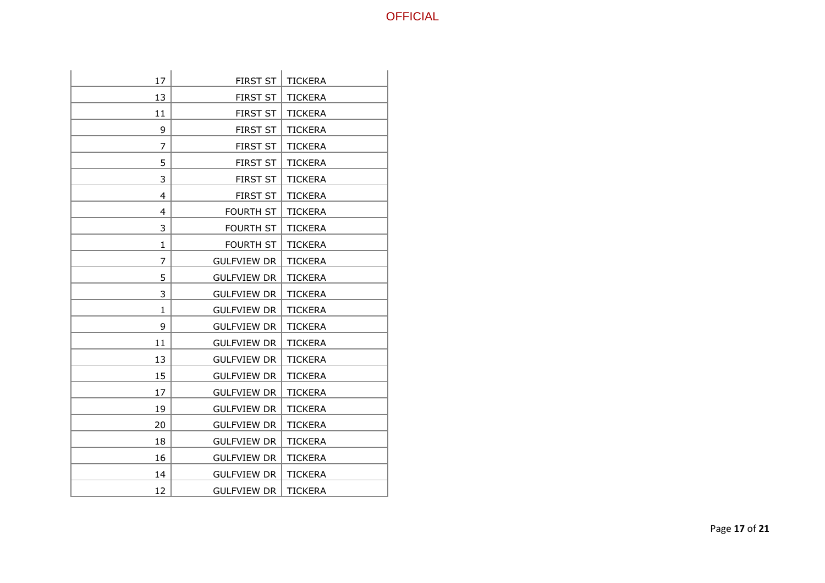| 17             | <b>FIRST ST</b>    | <b>TICKERA</b> |
|----------------|--------------------|----------------|
| 13             | <b>FIRST ST</b>    | <b>TICKERA</b> |
| 11             | <b>FIRST ST</b>    | <b>TICKERA</b> |
| 9              | <b>FIRST ST</b>    | <b>TICKERA</b> |
| $\overline{7}$ | <b>FIRST ST</b>    | <b>TICKERA</b> |
| 5              | <b>FIRST ST</b>    | <b>TICKERA</b> |
| 3              | <b>FIRST ST</b>    | <b>TICKERA</b> |
| 4              | <b>FIRST ST</b>    | <b>TICKERA</b> |
| 4              | <b>FOURTH ST</b>   | <b>TICKERA</b> |
| 3              | <b>FOURTH ST</b>   | <b>TICKERA</b> |
| 1              | <b>FOURTH ST</b>   | <b>TICKERA</b> |
| $\overline{7}$ | <b>GULFVIEW DR</b> | <b>TICKERA</b> |
| 5              | <b>GULFVIEW DR</b> | <b>TICKERA</b> |
| 3              | <b>GULFVIEW DR</b> | <b>TICKERA</b> |
| 1              | <b>GULFVIEW DR</b> | <b>TICKERA</b> |
| 9              | <b>GULFVIEW DR</b> | <b>TICKERA</b> |
| 11             | <b>GULFVIEW DR</b> | <b>TICKERA</b> |
| 13             | <b>GULFVIEW DR</b> | <b>TICKERA</b> |
| 15             | <b>GULFVIEW DR</b> | <b>TICKERA</b> |
| 17             | <b>GULFVIEW DR</b> | <b>TICKERA</b> |
| 19             | <b>GULFVIEW DR</b> | <b>TICKERA</b> |
| 20             | <b>GULFVIEW DR</b> | <b>TICKERA</b> |
| 18             | <b>GULFVIEW DR</b> | <b>TICKERA</b> |
| 16             | <b>GULFVIEW DR</b> | <b>TICKERA</b> |
| 14             | <b>GULFVIEW DR</b> | <b>TICKERA</b> |
| 12             | <b>GULFVIEW DR</b> | <b>TICKERA</b> |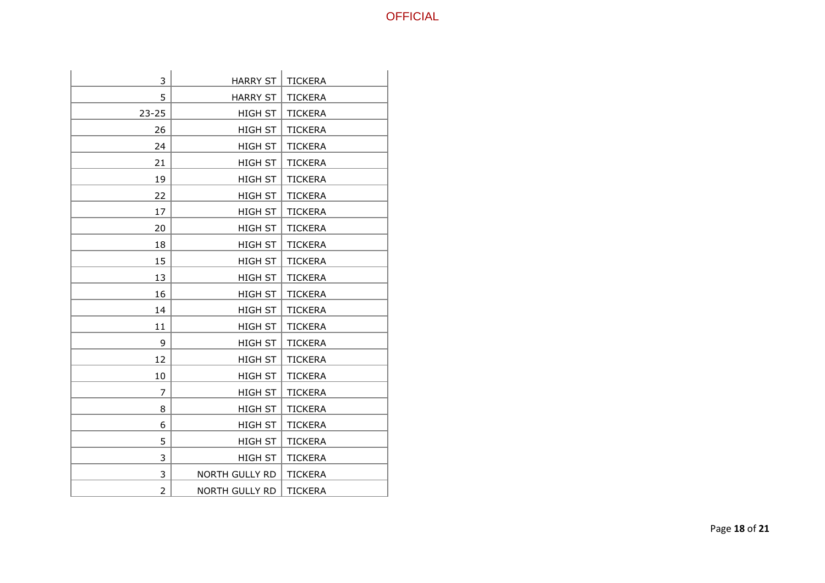| 3              | <b>HARRY ST</b>       | <b>TICKERA</b> |
|----------------|-----------------------|----------------|
| 5              | <b>HARRY ST</b>       | <b>TICKERA</b> |
| $23 - 25$      | HIGH ST               | <b>TICKERA</b> |
| 26             | <b>HIGH ST</b>        | <b>TICKERA</b> |
| 24             | <b>HIGH ST</b>        | <b>TICKERA</b> |
| 21             | <b>HIGH ST</b>        | <b>TICKERA</b> |
| 19             | <b>HIGH ST</b>        | <b>TICKERA</b> |
| 22             | <b>HIGH ST</b>        | <b>TICKERA</b> |
| 17             | <b>HIGH ST</b>        | <b>TICKERA</b> |
| 20             | HIGH ST               | <b>TICKERA</b> |
| 18             | <b>HIGH ST</b>        | <b>TICKERA</b> |
| 15             | <b>HIGH ST</b>        | <b>TICKERA</b> |
| 13             | <b>HIGH ST</b>        | <b>TICKERA</b> |
| 16             | <b>HIGH ST</b>        | <b>TICKERA</b> |
| 14             | <b>HIGH ST</b>        | <b>TICKERA</b> |
| 11             | <b>HIGH ST</b>        | <b>TICKERA</b> |
| 9              | <b>HIGH ST</b>        | <b>TICKERA</b> |
| 12             | HIGH ST               | <b>TICKERA</b> |
| 10             | <b>HIGH ST</b>        | <b>TICKERA</b> |
| $\overline{7}$ | <b>HIGH ST</b>        | <b>TICKERA</b> |
| 8              | <b>HIGH ST</b>        | <b>TICKERA</b> |
| 6              | <b>HIGH ST</b>        | <b>TICKERA</b> |
| 5              | <b>HIGH ST</b>        | <b>TICKERA</b> |
| 3              | <b>HIGH ST</b>        | <b>TICKERA</b> |
| 3              | NORTH GULLY RD        | <b>TICKERA</b> |
| $\overline{2}$ | <b>NORTH GULLY RD</b> | <b>TICKERA</b> |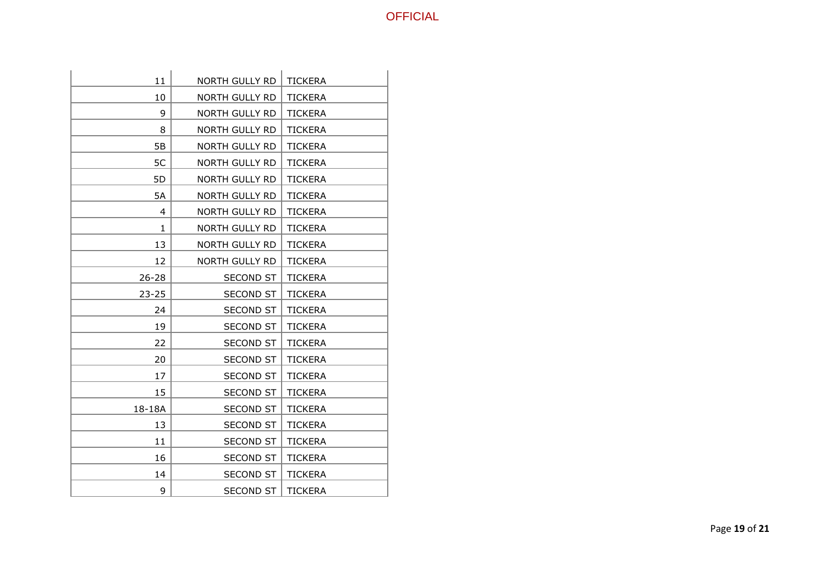| 11        | <b>NORTH GULLY RD</b> | <b>TICKERA</b> |
|-----------|-----------------------|----------------|
| 10        | NORTH GULLY RD        | <b>TICKERA</b> |
| 9         | NORTH GULLY RD        | <b>TICKERA</b> |
| 8         | NORTH GULLY RD        | <b>TICKERA</b> |
| 5B        | NORTH GULLY RD        | <b>TICKERA</b> |
| 5C        | <b>NORTH GULLY RD</b> | <b>TICKERA</b> |
| 5D        | NORTH GULLY RD        | TICKERA        |
| 5A        | NORTH GULLY RD        | <b>TICKERA</b> |
| 4         | NORTH GULLY RD        | <b>TICKERA</b> |
| 1.        | NORTH GULLY RD        | <b>TICKERA</b> |
| 13        | NORTH GULLY RD        | <b>TICKERA</b> |
| 12        | NORTH GULLY RD        | <b>TICKERA</b> |
| $26 - 28$ | <b>SECOND ST</b>      | <b>TICKERA</b> |
| $23 - 25$ | <b>SECOND ST</b>      | <b>TICKERA</b> |
| 24        | SECOND ST             | <b>TICKERA</b> |
| 19        | <b>SECOND ST</b>      | <b>TICKERA</b> |
| 22        | <b>SECOND ST</b>      | <b>TICKERA</b> |
| 20        | SECOND ST             | <b>TICKERA</b> |
| 17        | <b>SECOND ST</b>      | <b>TICKERA</b> |
| 15        | SECOND ST             | <b>TICKERA</b> |
| 18-18A    | <b>SECOND ST</b>      | <b>TICKERA</b> |
| 13        | <b>SECOND ST</b>      | <b>TICKERA</b> |
| 11        | <b>SECOND ST</b>      | <b>TICKERA</b> |
| 16        | <b>SECOND ST</b>      | <b>TICKERA</b> |
| 14        | <b>SECOND ST</b>      | <b>TICKERA</b> |
| 9         | <b>SECOND ST</b>      | <b>TICKERA</b> |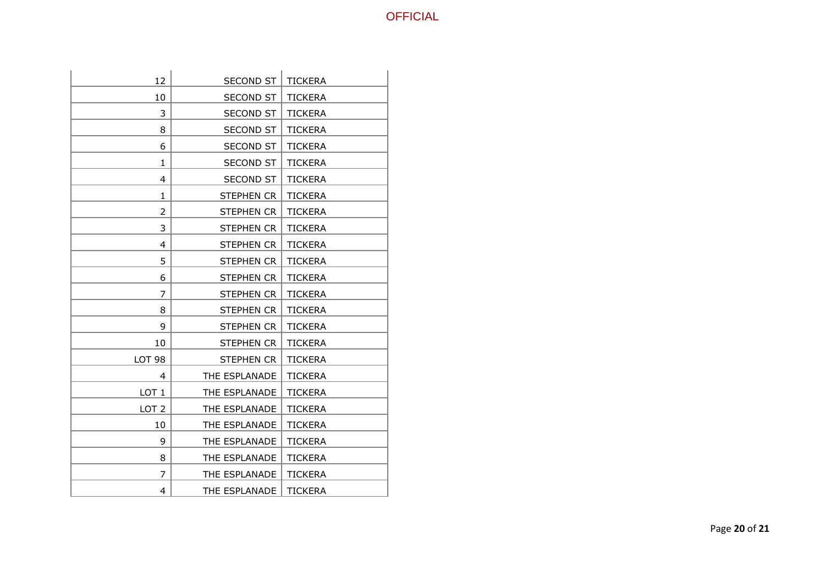| 12               | <b>SECOND ST</b>  | <b>TICKERA</b> |
|------------------|-------------------|----------------|
| 10               | <b>SECOND ST</b>  | <b>TICKERA</b> |
| 3                | <b>SECOND ST</b>  | <b>TICKERA</b> |
| 8                | <b>SECOND ST</b>  | <b>TICKERA</b> |
| 6                | <b>SECOND ST</b>  | TICKERA        |
| 1                | <b>SECOND ST</b>  | <b>TICKERA</b> |
| 4                | <b>SECOND ST</b>  | <b>TICKERA</b> |
| $\mathbf{1}$     | <b>STEPHEN CR</b> | <b>TICKERA</b> |
| $\overline{2}$   | <b>STEPHEN CR</b> | <b>TICKERA</b> |
| 3                | STEPHEN CR        | <b>TICKERA</b> |
| 4                | STEPHEN CR        | <b>TICKERA</b> |
| 5                | <b>STEPHEN CR</b> | <b>TICKERA</b> |
| 6                | STEPHEN CR        | <b>TICKERA</b> |
| 7                | STEPHEN CR        | <b>TICKERA</b> |
| 8                | <b>STEPHEN CR</b> | <b>TICKERA</b> |
| 9                | STEPHEN CR        | <b>TICKERA</b> |
| 10               | STEPHEN CR        | <b>TICKERA</b> |
| <b>LOT 98</b>    | <b>STEPHEN CR</b> | <b>TICKERA</b> |
| 4                | THE ESPLANADE     | <b>TICKERA</b> |
| LOT <sub>1</sub> | THE ESPLANADE     | <b>TICKERA</b> |
| LOT <sub>2</sub> | THE ESPLANADE     | <b>TICKERA</b> |
| 10               | THE ESPLANADE     | <b>TICKERA</b> |
| 9                | THE ESPLANADE     | <b>TICKERA</b> |
| 8                | THE ESPLANADE     | <b>TICKERA</b> |
| 7                | THE ESPLANADE     | <b>TICKERA</b> |
| 4                | THE ESPLANADE     | <b>TICKERA</b> |